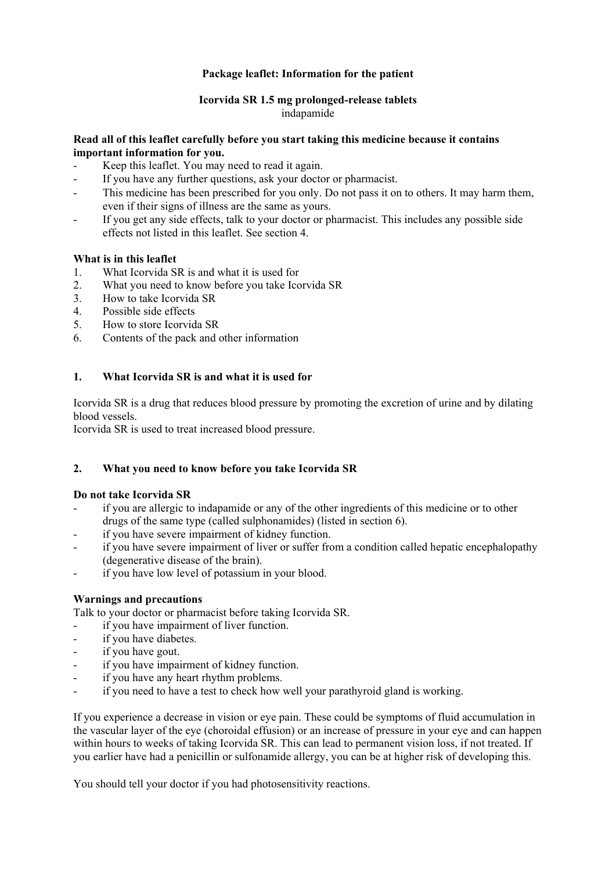# **Package leaflet: Information for the patient**

## **Icorvida SR 1.5 mg prolonged-release tablets**  indapamide

### **Read all of this leaflet carefully before you start taking this medicine because it contains important information for you.**

- Keep this leaflet. You may need to read it again.
- If you have any further questions, ask your doctor or pharmacist.
- This medicine has been prescribed for you only. Do not pass it on to others. It may harm them, even if their signs of illness are the same as yours.
- If you get any side effects, talk to your doctor or pharmacist. This includes any possible side effects not listed in this leaflet. See section 4.

### **What is in this leaflet**

- 1. What Icorvida SR is and what it is used for
- 2. What you need to know before you take Icorvida SR
- 3. How to take Icorvida SR
- 4. Possible side effects
- 5. How to store Icorvida SR
- 6. Contents of the pack and other information

## **1. What Icorvida SR is and what it is used for**

Icorvida SR is a drug that reduces blood pressure by promoting the excretion of urine and by dilating blood vessels.

Icorvida SR is used to treat increased blood pressure.

# **2. What you need to know before you take Icorvida SR**

### **Do not take Icorvida SR**

- if you are allergic to indapamide or any of the other ingredients of this medicine or to other drugs of the same type (called sulphonamides) (listed in section 6).
- if you have severe impairment of kidney function.
- if you have severe impairment of liver or suffer from a condition called hepatic encephalopathy (degenerative disease of the brain).
- if you have low level of potassium in your blood.

### **Warnings and precautions**

Talk to your doctor or pharmacist before taking Icorvida SR.

- if you have impairment of liver function.
- if you have diabetes.
- if you have gout.
- if you have impairment of kidney function.
- if you have any heart rhythm problems.
- if you need to have a test to check how well your parathyroid gland is working.

If you experience a decrease in vision or eye pain. These could be symptoms of fluid accumulation in the vascular layer of the eye (choroidal effusion) or an increase of pressure in your eye and can happen within hours to weeks of taking Icorvida SR. This can lead to permanent vision loss, if not treated. If you earlier have had a penicillin or sulfonamide allergy, you can be at higher risk of developing this.

You should tell your doctor if you had photosensitivity reactions.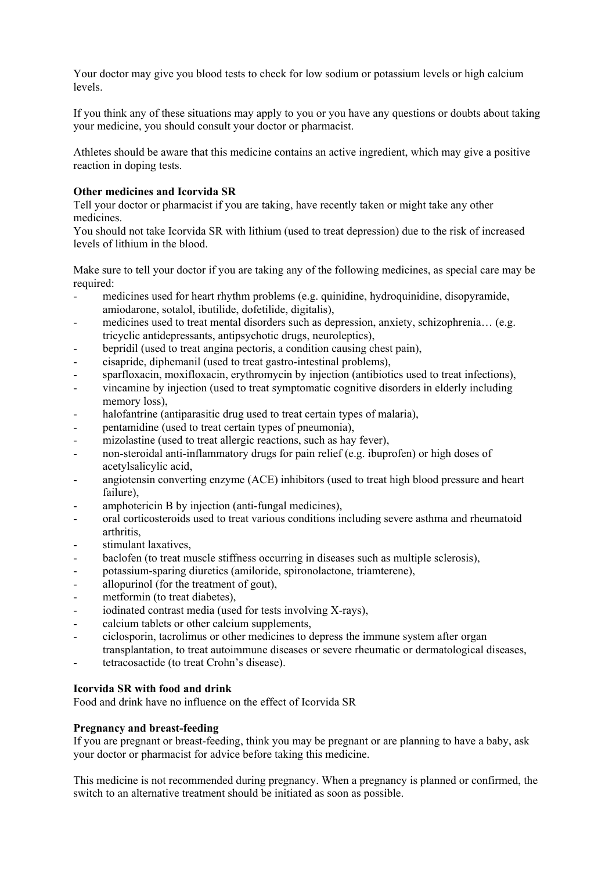Your doctor may give you blood tests to check for low sodium or potassium levels or high calcium levels.

If you think any of these situations may apply to you or you have any questions or doubts about taking your medicine, you should consult your doctor or pharmacist.

Athletes should be aware that this medicine contains an active ingredient, which may give a positive reaction in doping tests.

### **Other medicines and Icorvida SR**

Tell your doctor or pharmacist if you are taking, have recently taken or might take any other medicines.

You should not take Icorvida SR with lithium (used to treat depression) due to the risk of increased levels of lithium in the blood.

Make sure to tell your doctor if you are taking any of the following medicines, as special care may be required:

- medicines used for heart rhythm problems (e.g. quinidine, hydroquinidine, disopyramide, amiodarone, sotalol, ibutilide, dofetilide, digitalis),
- medicines used to treat mental disorders such as depression, anxiety, schizophrenia... (e.g. tricyclic antidepressants, antipsychotic drugs, neuroleptics),
- bepridil (used to treat angina pectoris, a condition causing chest pain),
- cisapride, diphemanil (used to treat gastro-intestinal problems),
- sparfloxacin, moxifloxacin, erythromycin by injection (antibiotics used to treat infections),
- vincamine by injection (used to treat symptomatic cognitive disorders in elderly including memory loss),
- halofantrine (antiparasitic drug used to treat certain types of malaria),
- pentamidine (used to treat certain types of pneumonia),
- mizolastine (used to treat allergic reactions, such as hay fever),
- non-steroidal anti-inflammatory drugs for pain relief (e.g. ibuprofen) or high doses of acetylsalicylic acid,
- angiotensin converting enzyme (ACE) inhibitors (used to treat high blood pressure and heart failure),
- amphotericin B by injection (anti-fungal medicines),
- oral corticosteroids used to treat various conditions including severe asthma and rheumatoid arthritis,
- stimulant laxatives.
- baclofen (to treat muscle stiffness occurring in diseases such as multiple sclerosis),
- potassium-sparing diuretics (amiloride, spironolactone, triamterene),
- allopurinol (for the treatment of gout),
- metformin (to treat diabetes),
- iodinated contrast media (used for tests involving X-rays),
- calcium tablets or other calcium supplements,
- ciclosporin, tacrolimus or other medicines to depress the immune system after organ transplantation, to treat autoimmune diseases or severe rheumatic or dermatological diseases,
- tetracosactide (to treat Crohn's disease).

## **Icorvida SR with food and drink**

Food and drink have no influence on the effect of Icorvida SR

### **Pregnancy and breast-feeding**

If you are pregnant or breast-feeding, think you may be pregnant or are planning to have a baby, ask your doctor or pharmacist for advice before taking this medicine.

This medicine is not recommended during pregnancy. When a pregnancy is planned or confirmed, the switch to an alternative treatment should be initiated as soon as possible.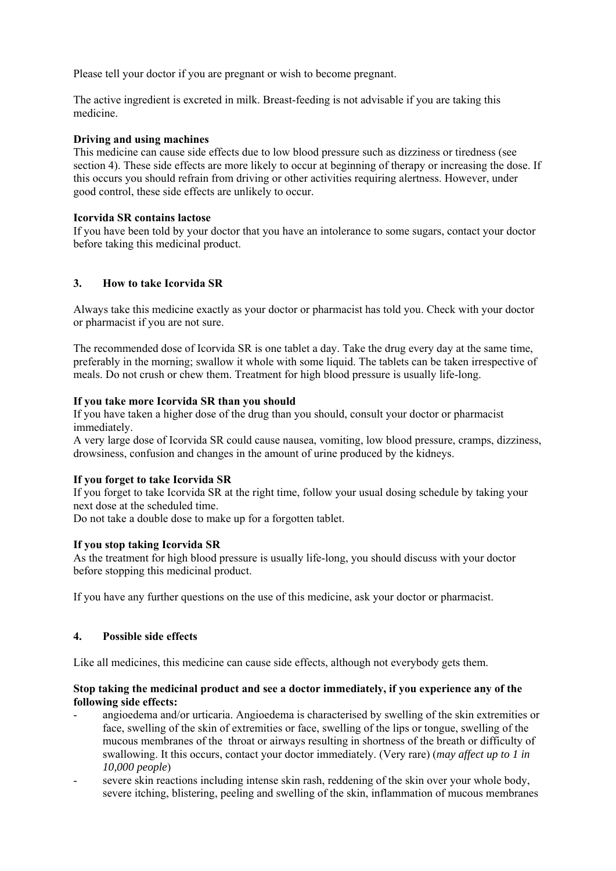Please tell your doctor if you are pregnant or wish to become pregnant.

The active ingredient is excreted in milk. Breast-feeding is not advisable if you are taking this medicine.

### **Driving and using machines**

This medicine can cause side effects due to low blood pressure such as dizziness or tiredness (see section 4). These side effects are more likely to occur at beginning of therapy or increasing the dose. If this occurs you should refrain from driving or other activities requiring alertness. However, under good control, these side effects are unlikely to occur.

### **Icorvida SR contains lactose**

If you have been told by your doctor that you have an intolerance to some sugars, contact your doctor before taking this medicinal product.

# **3. How to take Icorvida SR**

Always take this medicine exactly as your doctor or pharmacist has told you. Check with your doctor or pharmacist if you are not sure.

The recommended dose of Icorvida SR is one tablet a day. Take the drug every day at the same time, preferably in the morning; swallow it whole with some liquid. The tablets can be taken irrespective of meals. Do not crush or chew them. Treatment for high blood pressure is usually life-long.

## **If you take more Icorvida SR than you should**

If you have taken a higher dose of the drug than you should, consult your doctor or pharmacist immediately.

A very large dose of Icorvida SR could cause nausea, vomiting, low blood pressure, cramps, dizziness, drowsiness, confusion and changes in the amount of urine produced by the kidneys.

# **If you forget to take Icorvida SR**

If you forget to take Icorvida SR at the right time, follow your usual dosing schedule by taking your next dose at the scheduled time.

Do not take a double dose to make up for a forgotten tablet.

### **If you stop taking Icorvida SR**

As the treatment for high blood pressure is usually life-long, you should discuss with your doctor before stopping this medicinal product.

If you have any further questions on the use of this medicine, ask your doctor or pharmacist.

# **4. Possible side effects**

Like all medicines, this medicine can cause side effects, although not everybody gets them.

### **Stop taking the medicinal product and see a doctor immediately, if you experience any of the following side effects:**

- angioedema and/or urticaria. Angioedema is characterised by swelling of the skin extremities or face, swelling of the skin of extremities or face, swelling of the lips or tongue, swelling of the mucous membranes of the throat or airways resulting in shortness of the breath or difficulty of swallowing. It this occurs, contact your doctor immediately. (Very rare) (*may affect up to 1 in 10,000 people*)
- severe skin reactions including intense skin rash, reddening of the skin over your whole body, severe itching, blistering, peeling and swelling of the skin, inflammation of mucous membranes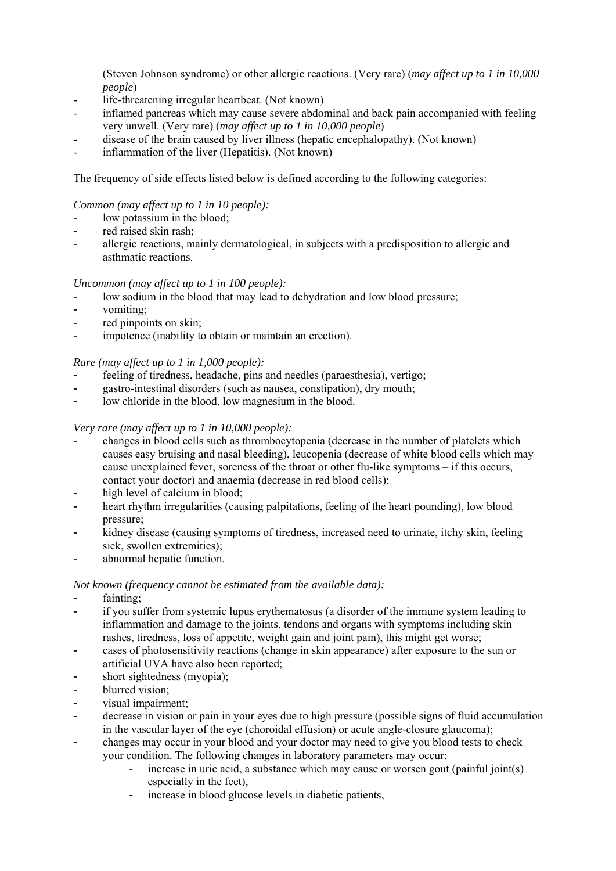(Steven Johnson syndrome) or other allergic reactions. (Very rare) (*may affect up to 1 in 10,000 people*)

- life-threatening irregular heartbeat. (Not known)
- inflamed pancreas which may cause severe abdominal and back pain accompanied with feeling very unwell. (Very rare) (*may affect up to 1 in 10,000 people*)
- disease of the brain caused by liver illness (hepatic encephalopathy). (Not known)
- inflammation of the liver (Hepatitis). (Not known)

The frequency of side effects listed below is defined according to the following categories:

### *Common (may affect up to 1 in 10 people):*

- low potassium in the blood;
- red raised skin rash;
- allergic reactions, mainly dermatological, in subjects with a predisposition to allergic and asthmatic reactions.

## *Uncommon (may affect up to 1 in 100 people):*

- low sodium in the blood that may lead to dehydration and low blood pressure;
- vomiting;
- red pinpoints on skin;
- impotence (inability to obtain or maintain an erection).

## *Rare (may affect up to 1 in 1,000 people):*

- feeling of tiredness, headache, pins and needles (paraesthesia), vertigo;
- gastro-intestinal disorders (such as nausea, constipation), dry mouth;
- low chloride in the blood, low magnesium in the blood.

## *Very rare (may affect up to 1 in 10,000 people):*

- changes in blood cells such as thrombocytopenia (decrease in the number of platelets which causes easy bruising and nasal bleeding), leucopenia (decrease of white blood cells which may cause unexplained fever, soreness of the throat or other flu-like symptoms – if this occurs, contact your doctor) and anaemia (decrease in red blood cells);
- high level of calcium in blood;
- heart rhythm irregularities (causing palpitations, feeling of the heart pounding), low blood pressure;
- kidney disease (causing symptoms of tiredness, increased need to urinate, itchy skin, feeling sick, swollen extremities);
- abnormal hepatic function.

### *Not known (frequency cannot be estimated from the available data):*

- fainting;
- if you suffer from systemic lupus erythematosus (a disorder of the immune system leading to inflammation and damage to the joints, tendons and organs with symptoms including skin rashes, tiredness, loss of appetite, weight gain and joint pain), this might get worse;
- cases of photosensitivity reactions (change in skin appearance) after exposure to the sun or artificial UVA have also been reported;
- short sightedness (myopia);
- blurred vision;
- visual impairment;
- decrease in vision or pain in your eyes due to high pressure (possible signs of fluid accumulation in the vascular layer of the eye (choroidal effusion) or acute angle-closure glaucoma);
- changes may occur in your blood and your doctor may need to give you blood tests to check your condition. The following changes in laboratory parameters may occur:
	- increase in uric acid, a substance which may cause or worsen gout (painful joint(s) especially in the feet),
	- increase in blood glucose levels in diabetic patients,